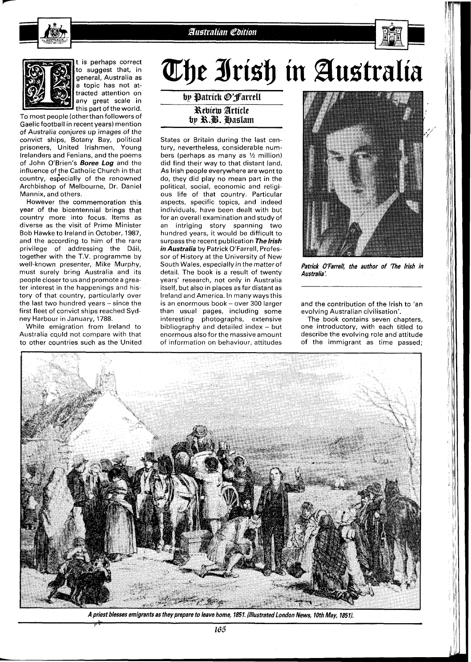Australian Edition



t is perhaps correct to suggest that, in general, Australia as a topic has not attracted attention on any great scale .in this part of the world.

To most people (otherthan followers of Gaelicfootball in recent years) mention of Australia conjures up images of the convict ships, Botany Bay, political prisoners, United Irishmen, Young lrelanders and Fenians, and the poems of John O'Brien's **Boree Log** and the influence of the Catholic Church in that country, especially of the renowned Archbishop of Melbourne, Dr. Daniel Mannix, and others.

However the commemoration this year of the bicentennial brings that country more into focus. Items as diverse as the visit of Prime Minister Bob Hawke to Ireland in October, 1987, and the according to him of the rare privilege of addressing the Dáil, together with the T.V. programme by well-known presenter, Mike Murphy, must surely bring Australia and its people closer to us and promote a greater interest in the happenings and history of that country, particularly over the last two hundred years - since the first fleet of convict ships reached Sydney Harbour in January, 1788.

While emigration from Ireland to Australia cquld not compare with that to other countries such as the United The Irish in Australia

by Patrick @'Farrell Rebiem Article by R.B. Haslam

States or Britain during the last century, nevertheless, considerable numbers (perhaps as many as  $1/2$  million) did find their way to that distant land. As lrish people everywhere are wont to do, they did play no mean part in the political, social, economic and religious life of that country. Particular aspects, specific topics, and indeed individuals, have been dealt with but for an overall examination and study of an intriging story spanning two hundred years, it would be difficult to surpass the recent publication **Thelrish in Australia** by Patrick O'Farrell, Professor of History at the University of New South Wales, especially in the matter of detail. The book is a result of twenty years' research, not only in Australia itself, but also in places as far distant as Ireland and America. In many ways this is an enormous book - over 300 larger than usual pages, including some interesting photographs, extensive bibliography and detailed index  $-$  but enormous also forthe massive amount of information on behaviour, attitudes



**Patrick O'Farrell, the author of 'The lrish in Australia:** 

and the contribution of the lrish to 'an evolving Australian civilisation'.

The book contains seven chapters, one introductory, with each titled to describe the evolving role and attitude of the immigrant as time passed;



A priest blesses emigrants as they prepare to leave home, 1851. (Illustrated London News, 10th May, 1851).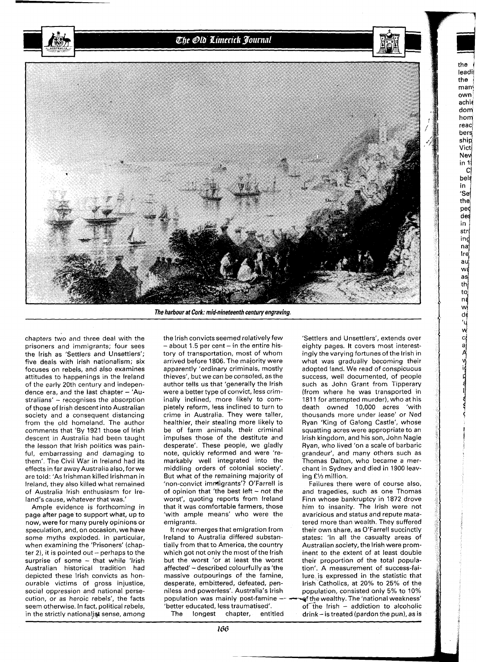The Old Limerick Journal



**The harbour at Cork: mid-nineteenth century engraving,** 

chapters two and three deal with the prisoners and immigrants; four sees the lrish as 'Settlers and Unsettlers'; five deals with lrish nationalism; six focuses on rebels, and also examines attitudes to happenings in the lreland of the early 20th century and independence era, and the last chapter  $-$  'Australians' - recognises the absorption of those of Irish descent into Australian society and a consequent distancing from the old homeland. The author comments that 'By 1921 those of lrish descent in Australia had been taught the lesson that lrish politics was painful, embarrassing and damaging to them'. The Civil War in lreland had its effects in far away Australia also, for we are told: 'As lrishman killed Irishman in Ireland, they also killed what remained of Australia lrish enthusiasm for Ireland's cause, whatever that was.

Ample evidence is forthcoming in page after page to support what, up to now, were for many purely opinions or speculation, and, on occasion, we have some myths exploded. In particular, when examining the 'Prisoners' (chapter 2), it is pointed out - perhaps to the surprise of some  $-$  that while 'Irish Australian historical tradition had depicted these lrish convicts as honourable victims of gross injustice, social oppression and national persecution, or as heroic rebels', the facts seem otherwise. In fact, political rebels, in the strictly nationalist sense, among

the lrish convicts seemed relatively few  $-$  about 1.5 per cent  $-$  in the entire history of transportation, most of whom arrived before 1806. The majority were apparently 'ordinary criminals, mostly thieves', but we can be consoled, as the author tells us that 'generally the lrish were a better type of convict, less criminally inclined, more likely to completely reform, less inclined to turn to crime in Australia. They were taller, healthier, their stealing more likely to be of farm animals, their criminal impulses those of the destitute and desperate'. These people, we gladly note, quickly reformed and were 'remarkably well integrated into the middling orders of colonial society'. But what of the remaining majority of 'non-convict immigrants'? O'Farrell is of opinion that 'the best left  $-$  not the worst', quoting reports from lreland that it was comfortable farmers, those 'with ample means' who were the emigrants.

It now emerges that emigration from lreland to Australia differed substantially from that to America, the country which got not only the most of the lrish but the worst 'or at least the worst affected' - described colourfully as 'the massive outpourings of the famine, desperate, embittered, defeated, penniless and powerless'. Australia's Irish<br>population was mainly post-famine population was mainly post-famine -- -f the wealthy. The 'national weakness'

'Settlers and Unsettlers', extends over eighty pages. It covers most interestingly the varying fortunes of the Irish in what was gradually becoming their adopted land. We read of conspicuous success, well documented, of people such as John Grant from Tipperary (from where he was transported in 1811 for attempted murder), who at his death owned 10,000 acres 'with thousands more under lease' or Ned Ryan 'King of Galong Castle', whose squatting acres were appropriate to an lrish kingdom, and his son, John Nagle Ryan, who lived 'on a scale of barbaric grandeur', and many others such as Thomas Dalton, who became a merchant in Sydney and died in 1900 leaving *W3* million.

the leadi: the  $man<sub>2</sub>$ own achie dom h0 **y**  reacl bers ship,

> cl bels in

Vict New in 1

de\$ in

str ind naj Ire, au wş asi thļ

'Se the ped

> W!<br>de<br>. 'Y **W**

> > **I**

Failures there were of course also, and tragedies, such as one Thomas Finn whose bankruptcy in 1872 drove him to insanity. The lrish were not avaricious and status and repute matatered more than wealth. They suffered their own share, as O'Farrell succinctly states: 'In all the casualty areas of Australian society, the lrish were prominent to the extent of at least double their proportion of the total population'. A measurement of success-failure is expressed in the statistic that lrish Catholics, at 20% to 25% of the population, consisted only 5% to 10% 'better educated, less traumatised'. of-The Irish - addiction to alcoholic  $drink - is treated (pardon the pun), as is$